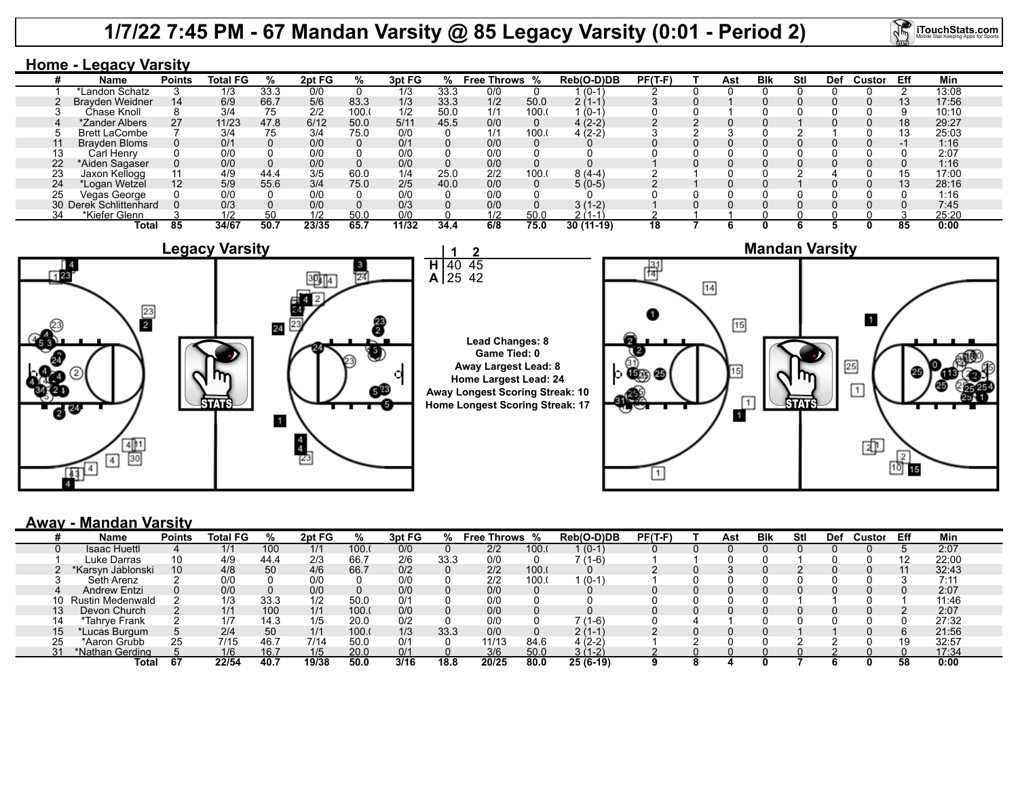## **1/7/22 7:45 PM - 67 Mandan Varsity @ 85 Legacy Varsity (0:01 - Period 2)**



### **Home - Legacy Varsity**

|    | Name                   | <b>Points</b>   | <b>Total FG</b> | %    | 2pt FG | ℅    | 3pt FG |      | % Free Throws % |       | Reb(O-D)DB  | $PF(T-F)$ | Ast | <b>B</b> lk | Stl | Def | Custor | Eff             | Min   |
|----|------------------------|-----------------|-----------------|------|--------|------|--------|------|-----------------|-------|-------------|-----------|-----|-------------|-----|-----|--------|-----------------|-------|
|    | *Landon Schatz         |                 | 1/3             | 33.3 | 0/0    |      | 1/3    | 33.3 | 0/0             |       | $(0-1)$     |           |     |             |     |     |        |                 | 13:08 |
|    | <b>Brayden Weidner</b> | 14              | 6/9             | 66.7 | 5/6    | 83.3 | 1/3    | 33.3 | 1/2             | 50.0  | $2(1-1)$    |           |     |             |     |     |        | 13 <sup>°</sup> | 17:56 |
|    | Chase Knoll            |                 | 3/4             | 75   | 2/2    | 100. | 1/2    | 50.0 | 1/1             | 100.0 | $(0-1)$     |           |     |             |     |     |        |                 | 10:10 |
|    | *Zander Albers         | 27              | 11/23           | 47.8 | 6/12   | 50.0 | 5/11   | 45.5 | 0/0             |       | $4(2-2)$    |           |     |             |     |     |        | 18              | 29:27 |
|    | <b>Brett LaCombe</b>   |                 | 3/4             | 75   | 3/4    | 75.0 | 0/0    |      | 1/1             | 100.  | $4(2-2)$    |           |     |             |     |     |        |                 | 25:03 |
|    | <b>Brayden Bloms</b>   |                 | 0/1             |      | 0/0    |      | 0/1    |      | 0/0             |       |             |           |     |             |     |     |        |                 | 1:16  |
|    | Carl Henry             |                 | 0/0             |      | 0/0    |      |        |      | 0/0             |       |             |           |     |             |     |     |        |                 | 2:07  |
| 22 | *Aiden Sagaser         |                 | 0/0             |      | 0/0    |      | 0/0    |      | 0/0             |       |             |           |     |             |     |     |        |                 | 1:16  |
|    | Jaxon Kellogg          |                 | 4/9             | 44.4 | 3/5    | 60.0 | 1/4    | 25.0 | 2/2             | 100.  | $8(4-4)$    |           |     |             |     |     |        | 15              | 17:00 |
| 24 | *Logan Wetzel          | 12 <sup>°</sup> | 5/9             | 55.6 | 3/4    | 75.0 | 2/5    | 40.0 | 0/0             |       | $5(0-5)$    |           |     |             |     |     |        |                 | 28:16 |
|    | Vegas George           |                 | 0/0             |      | 0/0    |      | 0/0    |      | 0/0             |       |             |           |     |             |     |     |        |                 | 1:16  |
|    | 30 Derek Schlittenhard |                 | 0/3             |      | 0/0    |      | 0/3    |      | 0/0             |       | $3(1-2)$    |           |     |             |     |     |        |                 | 7:45  |
|    | *Kiefer Glenn          |                 | 1/2             | 50   | 1/2    | 50.0 | 0/0    |      | 1/2             | 50.0  | $2(1-1)$    |           |     |             |     |     |        |                 | 25:20 |
|    | <b>Total</b>           | 85              | 34/67           | 50.7 | 23/35  | 65.7 | 11/32  | 34.4 | 6/8             | 75.0  | $30(11-19)$ | 18        |     |             |     |     |        | 85              | 0:00  |



#### **Away - Mandan Varsity**

|    | Name              | <b>Points</b> | <b>Total FG</b> | ℀    | 2pt FG | ℅     | 3pt FG |      | <b>Free Throws</b> % |      | Reb(O-D)DB | $PF(T-F)$ | Ast | <b>B</b> lk | Stl | Def | Custor | Eff | Min   |
|----|-------------------|---------------|-----------------|------|--------|-------|--------|------|----------------------|------|------------|-----------|-----|-------------|-----|-----|--------|-----|-------|
|    | Isaac Huettl      |               | 1/1             | 100  | 1/1    | 100.0 | 0/0    |      | 2/2                  | 100. | l (0-1)    |           |     |             |     |     |        |     | 2:07  |
|    | Luke Darras       | 10            | 4/9             | 44.4 | 2/3    | 66.7  | 2/6    | 33.3 | 0/0                  |      | 7 (1-6)    |           |     |             |     |     |        |     | 22:00 |
|    | *Karsyn Jablonski | 10            | 4/8             | 50   | 4/6    | 66.7  | 0/2    |      | 2/2                  | 100. |            |           |     |             |     |     |        |     | 32:43 |
|    | Seth Arenz        |               | 0/0             |      | 0/0    |       | 0/C    |      | 2/2                  | 100. | $(0-1)$    |           |     |             |     |     |        |     | 7:11  |
|    | Andrew Entzi      |               | 0/0             |      | 0/0    |       | 0/0    |      | 0/0                  |      |            |           |     |             |     |     |        |     | 2:07  |
|    | Rustin Medenwald  |               | 1/3             | 33.3 | 1/2    | 50.0  | 0/1    |      | 0/0                  |      |            |           |     |             |     |     |        |     | 11:46 |
|    | Devon Church      |               | 1/1             | 100  | 1/1    | 100.0 | 0/0    |      | 0/0                  |      |            |           |     |             |     |     |        |     | 2:07  |
|    | *Tahrye Frank     |               | 1/7             | 14.3 | 1/5    | 20.0  | 0/2    |      | 0/0                  |      | ' (1-6)    |           |     |             |     |     |        |     | 27:32 |
|    | 'Lucas Burɑum ˈ   |               | 2/4             | 50   | 1/1    | 100.0 | 1/3    | 33.3 | 0/0                  |      | 2 (1-1)    |           |     |             |     |     |        |     | 21:56 |
| 25 | *Aaron Grubb      | 25            | 7/15            | 46.7 | 7/14   | 50.0  | 0/1    |      | 11/13                | 84.6 | 4 (2-2)    |           |     |             |     |     |        | 10  | 32:57 |
| 31 | *Nathan Gerding   |               | 1/6             | 16.7 | 1/5    | 20.0  | 0/1    |      | 3/6                  | 50.0 | $3(1-2)$   |           |     |             |     |     |        |     | 17:34 |
|    | Total             | 67            | 22/54           | 40.7 | 19/38  | 50.0  | 3/16   | 18.8 | 20/25                | 80.0 | $25(6-19)$ |           |     |             |     |     |        | 58  | 0:00  |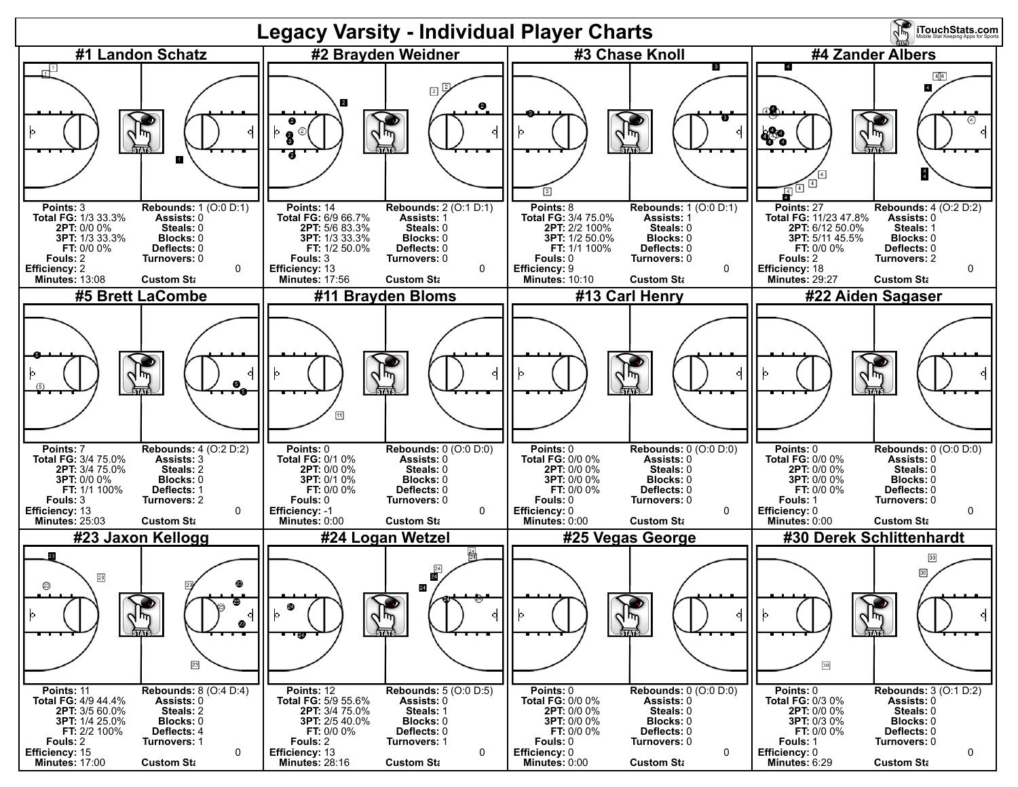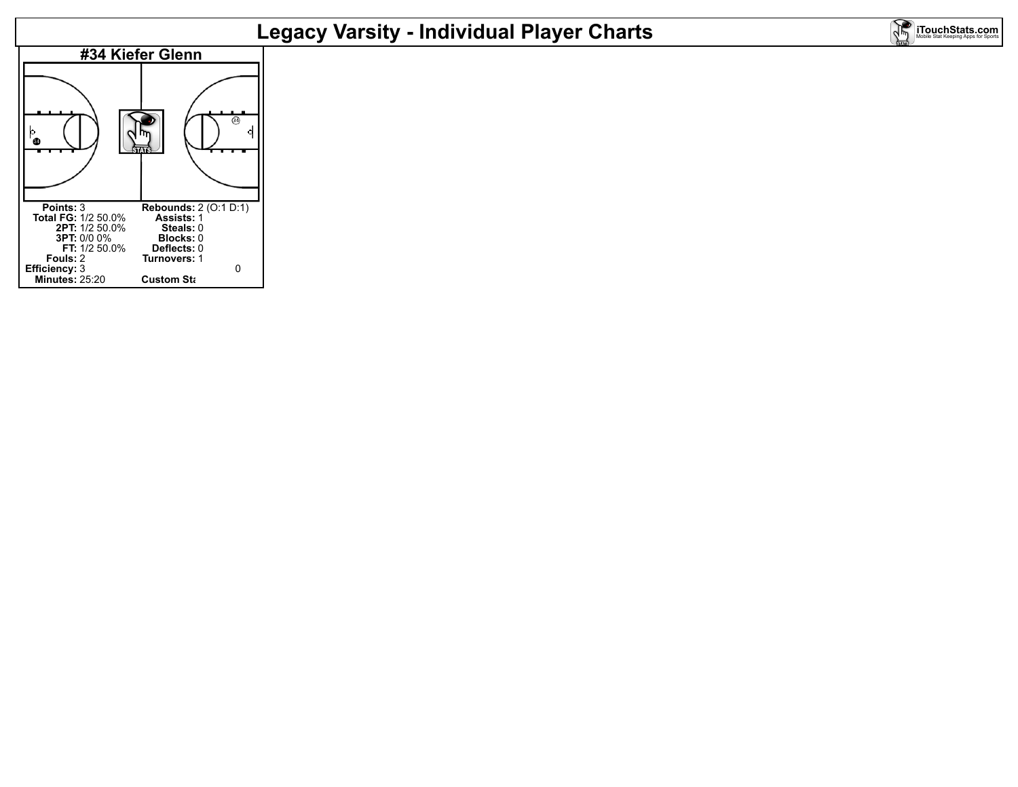# **Legacy Varsity - Individual Player Charts**

**iTouchStats.com** 

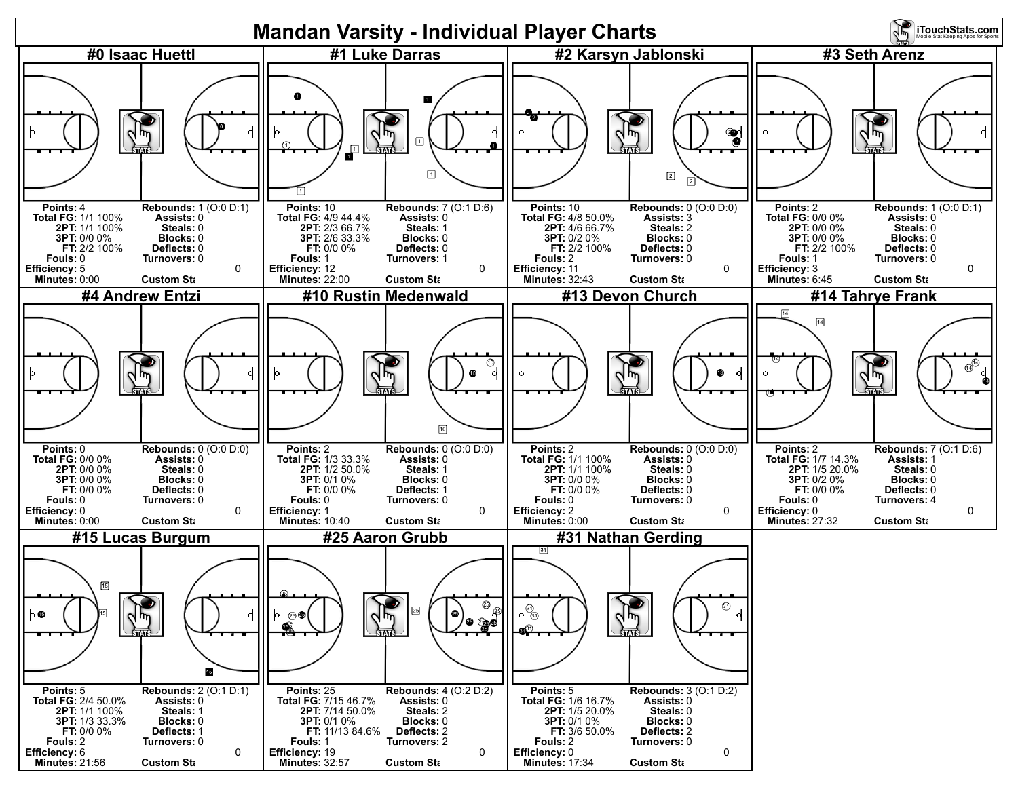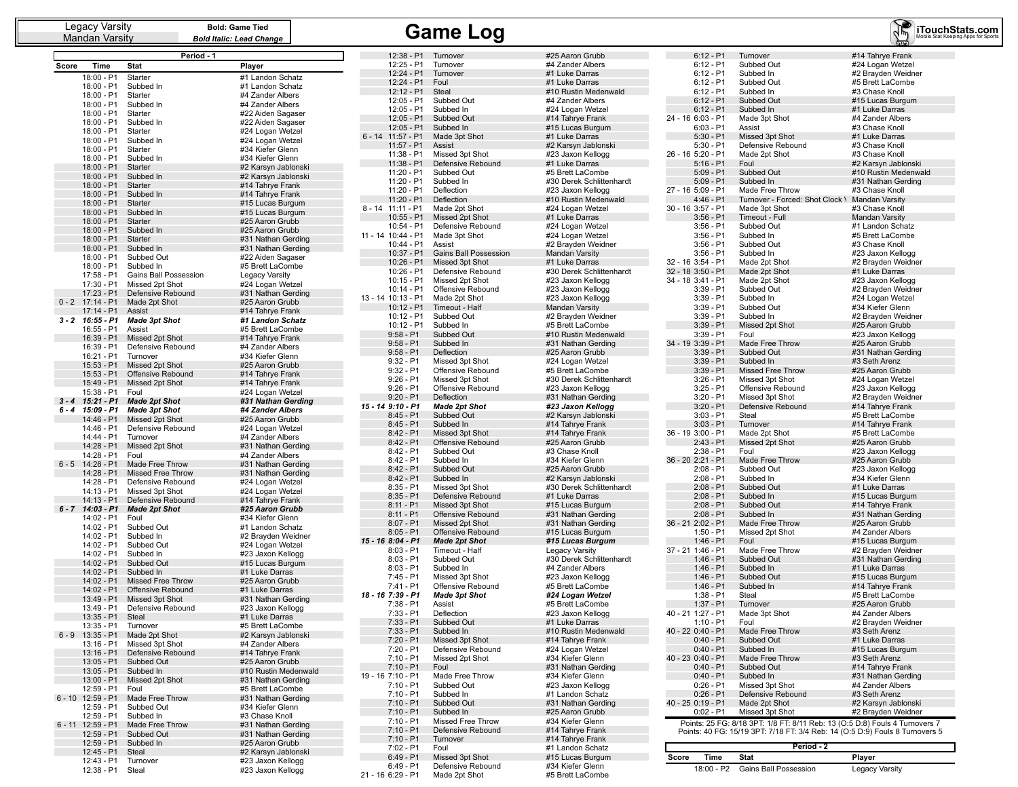Mandan Varsity

**Bold: Game Tied** *Bold Italic: Lead Change*

## Legacy Varsity **Gall** Bold: Game Tied<br>Mandan Varsity **Bold Italic: Lead Change Came Came Log**

|              |                            | Period - 1                                |                                        |
|--------------|----------------------------|-------------------------------------------|----------------------------------------|
| <b>Score</b> | Time                       | Stat                                      | Player                                 |
|              | 18:00 - P1                 | Starter                                   | #1 Landon Schatz                       |
|              | 18:00 - P1                 | Subbed In                                 | #1 Landon Schatz                       |
|              | 18:00 - P1                 | Starter                                   | #4 Zander Albers                       |
|              | 18:00 - P1                 | Subbed In                                 | #4 Zander Albers                       |
|              | 18:00 - P1                 | Starter                                   | #22 Aiden Sagaser                      |
|              | 18:00 - P1<br>18:00 - P1   | Subbed In<br>Starter                      | #22 Aiden Sagaser<br>#24 Logan Wetzel  |
|              | 18:00 - P1                 | Subbed In                                 | #24 Logan Wetzel                       |
|              | 18:00 - P1                 | Starter                                   | #34 Kiefer Glenn                       |
|              | 18:00 - P1                 | Subbed In                                 | #34 Kiefer Glenn                       |
|              | 18:00 - P1                 | Starter                                   | #2 Karsyn Jablonski                    |
|              | 18:00 - P1                 | Subbed In                                 | #2 Karsyn Jablonski                    |
|              | 18:00 - P1<br>18:00 - P1   | <b>Starter</b><br>Subbed In               | #14 Tahrye Frank<br>#14 Tahrye Frank   |
|              | 18:00 - P1                 | Starter                                   | #15 Lucas Burgum                       |
|              | 18:00 - P1                 | Subbed In                                 | #15 Lucas Burgum                       |
|              | 18:00 - P1                 | Starter                                   | #25 Aaron Grubb                        |
|              | 18:00 - P1                 | Subbed In                                 | #25 Aaron Grubb                        |
|              | 18:00 - P1                 | Starter                                   | #31 Nathan Gerding                     |
|              | 18:00 - P1<br>18:00 - P1   | Subbed In<br>Subbed Out                   | #31 Nathan Gerding                     |
|              | 18:00 - P1                 | Subbed In                                 | #22 Aiden Sagaser<br>#5 Brett LaCombe  |
|              | 17:58 - P1                 | Gains Ball Possession                     | Legacy Varsity                         |
|              | 17:30 - P1                 | Missed 2pt Shot                           | #24 Logan Wetzel                       |
|              | 17:23 - P1                 | Defensive Rebound                         | #31 Nathan Gerding                     |
| $0 - 2$      | 17:14 - P1                 | Made 2pt Shot                             | #25 Aaron Grubb                        |
| $3 - 2$      | 17:14 - P1<br>16:55 - P1   | <b>Assist</b>                             | #14 Tahrye Frank<br>#1 Landon Schatz   |
|              | $16:55 - P1$               | <b>Made 3pt Shot</b><br>Assist            | #5 Brett LaCombe                       |
|              | 16:39 - P1                 | Missed 2pt Shot                           | #14 Tahrye Frank                       |
|              | 16:39 - P1                 | Defensive Rebound                         | #4 Zander Albers                       |
|              | 16:21 - P1                 | Turnover                                  | #34 Kiefer Glenn                       |
|              | 15:53 - P1                 | Missed 2pt Shot                           | #25 Aaron Grubb                        |
|              | 15:53 - P1                 | Offensive Rebound                         | #14 Tahrye Frank                       |
|              | 15:49 - P1<br>15:38 - P1   | Missed 2pt Shot<br>Foul                   | #14 Tahrye Frank<br>#24 Logan Wetzel   |
| $3 - 4$      | $15:21 - P1$               | <b>Made 2pt Shot</b>                      | #31 Nathan Gerding                     |
| 6 - 4        | 15:09 - P1                 | <b>Made 3pt Shot</b>                      | #4 Zander Albers                       |
|              | 14:46 - P1                 | Missed 2pt Shot                           | #25 Aaron Grubb                        |
|              | 14:46 - P1                 | Defensive Rebound                         | #24 Logan Wetzel                       |
|              | 14:44 - P1<br>14:28 - P1   | Turnover                                  | #4 Zander Albers<br>#31 Nathan Gerding |
|              | 14:28 - P1                 | Missed 2pt Shot<br>Foul                   | #4 Zander Albers                       |
| $6 - 5$      | 14:28 - P1                 | Made Free Throw                           | #31 Nathan Gerding                     |
|              | 14:28 - P1                 | <b>Missed Free Throw</b>                  | #31 Nathan Gerding                     |
|              | 14:28 - P1                 | Defensive Rebound                         | #24 Logan Wetzel                       |
|              | 14:13 - P1                 | Missed 3pt Shot                           | #24 Logan Wetzel                       |
| $6 - 7$      | 14:13 - P1<br>14:03 - P1   | Defensive Rebound<br><b>Made 2pt Shot</b> | #14 Tahrye Frank<br>#25 Aaron Grubb    |
|              | 14:02 - P1                 | Foul                                      | #34 Kiefer Glenn                       |
|              | 14:02 - P1                 | Subbed Out                                | #1 Landon Schatz                       |
|              | 14:02 - P1                 | Subbed In                                 | #2 Brayden Weidner                     |
|              | 14:02 - P1                 | Subbed Out                                | #24 Logan Wetzel                       |
|              | 14:02 - P1<br>14:02 - P1   | Subbed In<br>Subbed Out                   | #23 Jaxon Kellogg<br>#15 Lucas Burgum  |
|              | 14:02 - P1                 | Subbed In                                 | #1 Luke Darras                         |
|              | 14:02 - P1                 | <b>Missed Free Throw</b>                  | #25 Aaron Grubb                        |
|              | 14:02 - P1                 | Offensive Rebound                         | #1 Luke Darras                         |
|              | 13:49 - P1                 | Missed 3pt Shot                           | #31 Nathan Gerding                     |
|              | 13:49 - P1                 | Defensive Rebound                         | #23 Jaxon Kellogg                      |
|              | 13:35 - P1<br>13:35 - P1   | Steal<br>Turnover                         | #1 Luke Darras<br>#5 Brett LaCombe     |
| $6 - 9$      | $13:35 - P1$               | Made 2pt Shot                             | #2 Karsyn Jablonski                    |
|              | 13:16 - P1                 | Missed 3pt Shot                           | #4 Zander Albers                       |
|              | $13:16 - P1$               | Defensive Rebound                         | #14 Tahrye Frank                       |
|              | $13:05 - P1$               | Subbed Out                                | #25 Aaron Grubb                        |
|              | 13:05 - P1                 | Subbed In                                 | #10 Rustin Medenwald                   |
|              | 13:00 - P1<br>12:59 - P1   | Missed 2pt Shot<br>Foul                   | #31 Nathan Gerding                     |
| $6 - 10$     | 12:59 - P1                 | Made Free Throw                           | #5 Brett LaCombe<br>#31 Nathan Gerding |
|              | 12:59 - P1                 | Subbed Out                                | #34 Kiefer Glenn                       |
|              | 12:59 - P1                 | Subbed In                                 | #3 Chase Knoll                         |
| $6 - 11$     | 12:59 - P1                 | Made Free Throw                           | #31 Nathan Gerding                     |
|              | 12:59 - P1                 | Subbed Out                                | #31 Nathan Gerding                     |
|              | $12:59 - P1$<br>12:45 - P1 | Subbed In<br>Steal                        | #25 Aaron Grubb<br>#2 Karsyn Jablonski |
|              | 12:43 - P1                 | Turnover                                  | #23 Jaxon Kellogg                      |
|              | 12:38 - P1                 | Steal                                     | #23 Jaxon Kellogg                      |

|          | 12:38 - P1                       | Turnover                               | #25 Aaron Grubb                            |
|----------|----------------------------------|----------------------------------------|--------------------------------------------|
|          | 12:25 - P1                       | Turnover                               | #4 Zander Albers                           |
|          | 12:24 - P1                       | Turnover                               | #1 Luke Darras                             |
|          | 12:24 - P1                       | Foul                                   | #1 Luke Darras                             |
|          | $12:12 - P1$                     | Steal                                  | #10 Rustin Medenwald                       |
|          | 12:05 - P1                       | Subbed Out                             | #4 Zander Albers                           |
|          | 12:05 - P1<br>$12:05 - P1$       | Subbed In<br>Subbed Out                | #24 Logan Wetzel                           |
|          | 12:05 - P1                       | Subbed In                              | #14 Tahrye Frank<br>#15 Lucas Burgum       |
| $6 - 14$ | 11:57 - P1                       | Made 3pt Shot                          | #1 Luke Darras                             |
|          | $11:57 - P1$                     | Assist                                 | #2 Karsyn Jablonski                        |
|          | 11:38 - P1                       | Missed 3pt Shot                        | #23 Jaxon Kellogg                          |
|          | 11:38 - P1                       | Defensive Rebound                      | #1 Luke Darras                             |
|          | 11:20 - P1                       | Subbed Out                             | #5 Brett LaCombe                           |
|          | 11:20 - P1                       | Subbed In                              | #30 Derek Schlittenhardt                   |
|          | 11:20 - P1                       | Deflection                             | #23 Jaxon Kellogg                          |
|          | 11:20 - P1                       | Deflection                             | #10 Rustin Medenwald                       |
|          | 8 - 14 11:11 - P1                | Made 2pt Shot                          | #24 Logan Wetzel                           |
|          | $10:55 - P1$                     | Missed 2pt Shot                        | #1 Luke Darras                             |
|          | 10:54 - P1                       | Defensive Rebound                      | #24 Logan Wetzel                           |
|          | 11 - 14 10:44 - P1               | Made 3pt Shot                          | #24 Logan Wetzel                           |
|          | 10:44 - P1                       | Assist                                 | #2 Brayden Weidner                         |
|          | $10:37 - P1$                     | Gains Ball Possession                  | <b>Mandan Varsity</b>                      |
|          | 10:26 - P1<br>10:26 - P1         | Missed 3pt Shot<br>Defensive Rebound   | #1 Luke Darras<br>#30 Derek Schlittenhardt |
|          | $10:15 - P1$                     | Missed 2pt Shot                        | #23 Jaxon Kellogg                          |
|          | 10:14 - P1                       | Offensive Rebound                      | #23 Jaxon Kellogg                          |
|          | 13 - 14 10:13 - P1               | Made 2pt Shot                          | #23 Jaxon Kellogg                          |
|          | $10:12 - P1$                     | Timeout - Half                         | Mandan Varsity                             |
|          | 10:12 - P1                       | Subbed Out                             | #2 Brayden Weidner                         |
|          | $10:12 - P1$                     | Subbed In                              | #5 Brett LaCombe                           |
|          | $9:58 - P1$                      | Subbed Out                             | #10 Rustin Medenwald                       |
|          | $9:58 - P1$                      | Subbed In                              | #31 Nathan Gerding                         |
|          | $9:58 - P1$                      | Deflection                             | #25 Aaron Grubb                            |
|          | $9:32 - P1$                      | Missed 3pt Shot                        | #24 Logan Wetzel                           |
|          | $9:32 - P1$                      | Offensive Rebound                      | #5 Brett LaCombe                           |
|          | $9:26 - P1$                      | Missed 3pt Shot                        | #30 Derek Schlittenhardt                   |
|          | $9:26 - P1$                      | Offensive Rebound                      | #23 Jaxon Kellogg                          |
|          | $9:20 - P1$                      | Deflection                             | #31 Nathan Gerding                         |
|          | 15 - 14 9:10 - P1<br>$8:45 - P1$ | Made 2pt Shot<br>Subbed Out            | #23 Jaxon Kellogg<br>#2 Karsyn Jablonski   |
|          | $8:45 - P1$                      | Subbed In                              | #14 Tahrye Frank                           |
|          | $8:42 - P1$                      | Missed 3pt Shot                        | #14 Tahrye Frank                           |
|          | $8:42 - P1$                      | Offensive Rebound                      | #25 Aaron Grubb                            |
|          | $8:42 - P1$                      | Subbed Out                             | #3 Chase Knoll                             |
|          | $8:42 - P1$                      | Subbed In                              | #34 Kiefer Glenn                           |
|          | $8:42 - P1$                      | Subbed Out                             | #25 Aaron Grubb                            |
|          | $8:42 - P1$                      | Subbed In                              | #2 Karsyn Jablonski                        |
|          | $8:35 - P1$                      | Missed 3pt Shot                        | #30 Derek Schlittenhardt                   |
|          | $8:35 - P1$                      | Defensive Rebound                      | #1 Luke Darras                             |
|          | $8:11 - P1$                      | Missed 3pt Shot                        | #15 Lucas Burgum                           |
|          | $8:11 - P1$                      | Offensive Rebound                      | #31 Nathan Gerding                         |
|          | $8:07 - P1$                      | Missed 2pt Shot                        | #31 Nathan Gerding                         |
|          | $8:05 - P1$                      | Offensive Rebound                      | #15 Lucas Burgum                           |
|          | 15 - 16 8:04 - P1<br>$8:03 - P1$ | <b>Made 2pt Shot</b><br>Timeout - Half | #15 Lucas Burgum                           |
|          | $8:03 - P1$                      | Subbed Out                             | Legacy Varsity<br>#30 Derek Schlittenhardt |
|          | $8:03 - P1$                      | Subbed In                              | #4 Zander Albers                           |
|          | 7:45 - P1                        | Missed 3pt Shot                        | #23 Jaxon Kellogg                          |
|          | 7:41 - P1                        | Offensive Rebound                      | #5 Brett LaCombe                           |
|          | 18 - 16 7:39 - P1                | <b>Made 3pt Shot</b>                   | #24 Logan Wetzel                           |
|          | $7:38 - P1$                      | Assist                                 | #5 Brett LaCombe                           |
|          | 7:33 - P1                        | Deflection                             | #23 Jaxon Kellogg                          |
|          | 7:33 - P1                        | Subbed Out                             | #1 Luke Darras                             |
|          | $7:33 - P1$                      | Subbed In                              | #10 Rustin Medenwald                       |
|          | $7:20 - P1$                      | Missed 3pt Shot                        | #14 Tahrye Frank                           |
|          | 7:20 - P1                        | Defensive Rebound                      | #24 Logan Wetzel                           |
|          | $7:10 - P1$                      | Missed 2pt Shot                        | #34 Kiefer Glenn                           |
|          | $7:10 - P1$                      | Foul                                   | #31 Nathan Gerding                         |
|          | 19 - 16 7:10 - P1                | Made Free Throw                        | #34 Kiefer Glenn                           |
|          | $7:10 - P1$                      | Subbed Out<br>Subbed In                | #23 Jaxon Kellogg                          |
|          | $7:10 - P1$<br>$7:10 - P1$       | Subbed Out                             | #1 Landon Schatz                           |
|          | 7:10 - P1                        | Subbed In                              | #31 Nathan Gerding<br>#25 Aaron Grubb      |
|          | 7:10 - P1                        | Missed Free Throw                      | #34 Kiefer Glenn                           |
|          | $7:10 - P1$                      | Defensive Rebound                      | #14 Tahrye Frank                           |
|          | 7:10 - P1                        | Turnover                               | #14 Tahrye Frank                           |
|          | 7:02 - P1                        | Foul                                   | #1 Landon Schatz                           |
|          | $6:49 - P1$                      | Missed 3pt Shot                        | #15 Lucas Burgum                           |
|          | $6:49 - P1$                      | Defensive Rebound                      | #34 Kiefer Glenn                           |
|          | 21 - 16 6:29 - P1                | Made 2pt Shot                          | #5 Brett LaCombe                           |

| #25 Aaron Grubb                                 |
|-------------------------------------------------|
| #4 Zander Albers<br>#1 Luke Darras              |
| #1 Luke Darras                                  |
| #10 Rustin Medenwald<br>#4 Zander Albers        |
| #24 Logan Wetzel                                |
| #14 Tahrye Frank                                |
| #15 Lucas Burgum<br>#1 Luke Darras              |
| #2 Karsyn Jablonski                             |
| #23 Jaxon Kellogg<br>#1 Luke Darras             |
| #5 Brett LaCombe                                |
| #30 Derek Schlittenhardt                        |
| #23 Jaxon Kellogg<br>#10 Rustin Medenwald       |
| #24 Logan Wetzel                                |
| #1 Luke Darras<br>#24 Logan Wetzel              |
| #24 Logan Wetzel                                |
| #2 Brayden Weidner                              |
| <b>Mandan Varsity</b><br>#1 Luke Darras         |
| #30 Derek Schlittenhardt                        |
| #23 Jaxon Kellogg                               |
| #23 Jaxon Kellogg<br>#23 Jaxon Kellogg          |
| Mandan Varsity                                  |
| #2 Brayden Weidner<br>#5 Brett LaCombe          |
| #10 Rustin Medenwald                            |
| #31 Nathan Gerding                              |
| #25 Aaron Grubb<br>#24 Logan Wetzel             |
| #5 Brett LaCombe                                |
| #30 Derek Schlittenhardt<br>#23 Jaxon Kellogg   |
| #31 Nathan Gerding                              |
| #23 Jaxon Kellogg<br>#2 Karsyn Jablonski        |
| #14 Tahrye Frank                                |
| #14 Tahrye Frank                                |
| #25 Aaron Grubb<br>#3 Chase Knoll               |
| #34 Kiefer Glenn                                |
| #25 Aaron Grubb                                 |
| #2 Karsyn Jablonski<br>#30 Derek Schlittenhardt |
| #1 Luke Darras                                  |
| #15 Lucas Burgum<br>#31 Nathan Gerding          |
| #31 Nathan Gerding                              |
| #15 Lucas Burgum<br>#15 Lucas Burgum            |
| Legacy Varsity                                  |
| #30 Derek Schlittenhardt                        |
| #4 Zander Albers<br>#23 Jaxon Kellogg           |
| #5 Brett LaCombe                                |
| #24 Logan Wetzel<br>#5 Brett LaCombe            |
| #23 Jaxon Kellogg                               |
| #1 Luke Darras                                  |
| #10 Rustin Medenwald<br>#14 Tahrye Frank        |
| #24 Logan Wetzel                                |
| #34 Kiefer Glenn<br>#31 Nathan Gerding          |
| #34 Kiefer Glenn                                |
| #23 Jaxon Kellogg                               |
| #1 Landon Schatz<br>#31 Nathan Gerding          |
| #25 Aaron Grubb                                 |
| #34 Kiefer Glenn<br>#14 Tahrye Frank            |
| #14 Tahrye Frank                                |
| #1 Landon Schatz                                |
|                                                 |
| #15 Lucas Burgum<br>#34 Kiefer Glenn            |

| $6:12 - P1$<br>Turnover<br>#14 Tahrye Frank<br>6:12 - P1<br>#24 Logan Wetzel<br>Subbed Out<br>6:12 - P1<br>Subbed In<br>#2 Brayden Weidner<br>6:12 - P1<br>Subbed Out<br>#5 Brett LaCombe<br>6:12 - P1<br>#3 Chase Knoll<br>Subbed In<br>$6:12 - P1$<br>Subbed Out<br>#15 Lucas Burgum<br>6:12 - P1<br>Subbed In<br>#1 Luke Darras<br>24 - 16 6:03 - P1<br>#4 Zander Albers<br>Made 3pt Shot<br>#3 Chase Knoll<br>6:03 - P1<br>Assist<br>5:30 - P1<br>Missed 3pt Shot<br>#1 Luke Darras<br>#3 Chase Knoll<br>5:30 - P1<br>Defensive Rebound<br>26 - 16 5:20 - P1<br>Made 2pt Shot<br>#3 Chase Knoll<br>$5:16 - P1$<br>Foul<br>#2 Karsyn Jablonski<br>Subbed Out<br>#10 Rustin Medenwald<br>5:09 - P1<br>5:09 - P1<br>Subbed In<br>#31 Nathan Gerding<br>27 - 16 5:09 - P1<br>Made Free Throw<br>#3 Chase Knoll<br>Turnover - Forced: Shot Clock \<br>4:46 - P1<br><b>Mandan Varsity</b><br>30 - 16 3:57 - P1<br>Made 3pt Shot<br>#3 Chase Knoll<br>3:56 - P1<br>Timeout - Full<br><b>Mandan Varsity</b><br>$3:56 - P1$<br>Subbed Out<br>#1 Landon Schatz<br>#5 Brett LaCombe<br>3:56 - P1<br>Subbed In<br>3:56 - P1<br>Subbed Out<br>#3 Chase Knoll<br>3:56 - P1<br>Subbed In<br>#23 Jaxon Kellogg<br>32 - 16 3:54 - P1<br>Made 2pt Shot<br>#2 Brayden Weidner<br>32 - 18 3:50 - P1<br>Made 2pt Shot<br>#1 Luke Darras<br>34 - 18 3:41 - P1<br>Made 2pt Shot<br>#23 Jaxon Kellogg<br>3:39 - P1<br>Subbed Out<br>#2 Brayden Weidner<br>3:39 - P1<br>Subbed In<br>#24 Logan Wetzel<br>3:39 - P1<br>Subbed Out<br>#34 Kiefer Glenn<br>3:39 - P1<br>Subbed In<br>#2 Brayden Weidner<br>3:39 - P1<br>Missed 2pt Shot<br>#25 Aaron Grubb<br>$3:39 - P1$<br>#23 Jaxon Kellogg<br>Foul<br>34 - 19 3:39 - P1<br>Made Free Throw<br>#25 Aaron Grubb<br>$3:39 - P1$<br>Subbed Out<br>#31 Nathan Gerding<br>$3:39 - P1$<br>Subbed In<br>#3 Seth Arenz<br>3:39 - P1<br><b>Missed Free Throw</b><br>#25 Aaron Grubb<br>3:26 - P1<br>Missed 3pt Shot<br>#24 Logan Wetzel<br>$3:25 - P1$<br>Offensive Rebound<br>#23 Jaxon Kellogg<br>3:20 - P1<br>Missed 3pt Shot<br>#2 Brayden Weidner<br>3:20 - P1<br>Defensive Rebound<br>#14 Tahrye Frank<br>3:03 - P1<br>Steal<br>#5 Brett LaCombe<br>3:03 - P1<br>Turnover<br>#14 Tahrye Frank<br>36 - 19 3:00 - P1<br>Made 2pt Shot<br>#5 Brett LaCombe<br>2:43 - P1<br>#25 Aaron Grubb<br>Missed 2pt Shot<br>2:38 - P1<br>Foul<br>#23 Jaxon Kellogg<br>36 - 20 2:21 - P1<br>Made Free Throw<br>#25 Aaron Grubb<br>2:08 - P1<br>Subbed Out<br>#23 Jaxon Kellogg<br>2:08 - P1<br>#34 Kiefer Glenn<br>Subbed In<br>2:08 - P1<br>Subbed Out<br>#1 Luke Darras<br>2:08 - P1<br>Subbed In<br>#15 Lucas Burgum<br>2:08 - P1<br>Subbed Out<br>#14 Tahrye Frank<br>$2:08 - P1$<br>Subbed In<br>#31 Nathan Gerding<br>#25 Aaron Grubb<br>36 - 21 2:02 - P1<br>Made Free Throw<br>#4 Zander Albers<br>1:50 - P1<br>Missed 2pt Shot<br>$1:46 - P1$<br>Foul<br>#15 Lucas Burgum<br>37 - 21 1:46 - P1<br>Made Free Throw<br>#2 Brayden Weidner<br>1:46 - P1<br>Subbed Out<br>#31 Nathan Gerding<br>$1:46 - P1$<br>Subbed In<br>#1 Luke Darras<br>Subbed Out<br>1:46 - P1<br>#15 Lucas Burgum<br>1:46 - P1<br>Subbed In<br>#14 Tahrye Frank<br>1:38 - P1<br>Steal<br>#5 Brett LaCombe<br>1:37 - P1<br>Turnover<br>#25 Aaron Grubb<br>40 - 21 1:27 - P1<br>Made 3pt Shot<br>#4 Zander Albers<br>Foul<br>#2 Brayden Weidner<br>1:10 - P1<br>40 - 22 0:40 - P1<br>Made Free Throw<br>#3 Seth Arenz<br>$0:40 - P1$<br>Subbed Out<br>#1 Luke Darras<br>Subbed In<br>$0:40 - P1$<br>#15 Lucas Burgum<br>Made Free Throw<br>#3 Seth Arenz<br>40 - 23 0:40 - P1<br>$0:40 - P1$<br>Subbed Out<br>#14 Tahrye Frank<br>Subbed In<br>#31 Nathan Gerding<br>$0:40 - P1$<br>Missed 3pt Shot<br>#4 Zander Albers<br>$0:26 - P1$<br>$0:26 - P1$<br>Defensive Rebound<br>#3 Seth Arenz<br>40 - 25 0:19 - P1<br>Made 2pt Shot<br>#2 Karsyn Jablonski<br>#2 Brayden Weidner<br>$0:02 - P1$<br>Missed 3pt Shot<br>Points: 25 FG: 8/18 3PT: 1/8 FT: 8/11 Reb: 13 (0:5 D:8) Fouls 4 Turnovers 7 |  | <b>iTouchStats.com</b> |
|-------------------------------------------------------------------------------------------------------------------------------------------------------------------------------------------------------------------------------------------------------------------------------------------------------------------------------------------------------------------------------------------------------------------------------------------------------------------------------------------------------------------------------------------------------------------------------------------------------------------------------------------------------------------------------------------------------------------------------------------------------------------------------------------------------------------------------------------------------------------------------------------------------------------------------------------------------------------------------------------------------------------------------------------------------------------------------------------------------------------------------------------------------------------------------------------------------------------------------------------------------------------------------------------------------------------------------------------------------------------------------------------------------------------------------------------------------------------------------------------------------------------------------------------------------------------------------------------------------------------------------------------------------------------------------------------------------------------------------------------------------------------------------------------------------------------------------------------------------------------------------------------------------------------------------------------------------------------------------------------------------------------------------------------------------------------------------------------------------------------------------------------------------------------------------------------------------------------------------------------------------------------------------------------------------------------------------------------------------------------------------------------------------------------------------------------------------------------------------------------------------------------------------------------------------------------------------------------------------------------------------------------------------------------------------------------------------------------------------------------------------------------------------------------------------------------------------------------------------------------------------------------------------------------------------------------------------------------------------------------------------------------------------------------------------------------------------------------------------------------------------------------------------------------------------------------------------------------------------------------------------------------------------------------------------------------------------------------------------------------------------------------------------------------------------------------------------------------------------------------------------------------------------------------------------------------------------------------------------------------------------------------------------------------------------------------------------------------------------------------------------------------------------------------------------------------------------------------------------------------------------------------------------------------------------------------------------------------------------------|--|------------------------|
|                                                                                                                                                                                                                                                                                                                                                                                                                                                                                                                                                                                                                                                                                                                                                                                                                                                                                                                                                                                                                                                                                                                                                                                                                                                                                                                                                                                                                                                                                                                                                                                                                                                                                                                                                                                                                                                                                                                                                                                                                                                                                                                                                                                                                                                                                                                                                                                                                                                                                                                                                                                                                                                                                                                                                                                                                                                                                                                                                                                                                                                                                                                                                                                                                                                                                                                                                                                                                                                                                                                                                                                                                                                                                                                                                                                                                                                                                                                                                                                     |  |                        |
|                                                                                                                                                                                                                                                                                                                                                                                                                                                                                                                                                                                                                                                                                                                                                                                                                                                                                                                                                                                                                                                                                                                                                                                                                                                                                                                                                                                                                                                                                                                                                                                                                                                                                                                                                                                                                                                                                                                                                                                                                                                                                                                                                                                                                                                                                                                                                                                                                                                                                                                                                                                                                                                                                                                                                                                                                                                                                                                                                                                                                                                                                                                                                                                                                                                                                                                                                                                                                                                                                                                                                                                                                                                                                                                                                                                                                                                                                                                                                                                     |  |                        |
|                                                                                                                                                                                                                                                                                                                                                                                                                                                                                                                                                                                                                                                                                                                                                                                                                                                                                                                                                                                                                                                                                                                                                                                                                                                                                                                                                                                                                                                                                                                                                                                                                                                                                                                                                                                                                                                                                                                                                                                                                                                                                                                                                                                                                                                                                                                                                                                                                                                                                                                                                                                                                                                                                                                                                                                                                                                                                                                                                                                                                                                                                                                                                                                                                                                                                                                                                                                                                                                                                                                                                                                                                                                                                                                                                                                                                                                                                                                                                                                     |  |                        |
|                                                                                                                                                                                                                                                                                                                                                                                                                                                                                                                                                                                                                                                                                                                                                                                                                                                                                                                                                                                                                                                                                                                                                                                                                                                                                                                                                                                                                                                                                                                                                                                                                                                                                                                                                                                                                                                                                                                                                                                                                                                                                                                                                                                                                                                                                                                                                                                                                                                                                                                                                                                                                                                                                                                                                                                                                                                                                                                                                                                                                                                                                                                                                                                                                                                                                                                                                                                                                                                                                                                                                                                                                                                                                                                                                                                                                                                                                                                                                                                     |  |                        |
|                                                                                                                                                                                                                                                                                                                                                                                                                                                                                                                                                                                                                                                                                                                                                                                                                                                                                                                                                                                                                                                                                                                                                                                                                                                                                                                                                                                                                                                                                                                                                                                                                                                                                                                                                                                                                                                                                                                                                                                                                                                                                                                                                                                                                                                                                                                                                                                                                                                                                                                                                                                                                                                                                                                                                                                                                                                                                                                                                                                                                                                                                                                                                                                                                                                                                                                                                                                                                                                                                                                                                                                                                                                                                                                                                                                                                                                                                                                                                                                     |  |                        |
|                                                                                                                                                                                                                                                                                                                                                                                                                                                                                                                                                                                                                                                                                                                                                                                                                                                                                                                                                                                                                                                                                                                                                                                                                                                                                                                                                                                                                                                                                                                                                                                                                                                                                                                                                                                                                                                                                                                                                                                                                                                                                                                                                                                                                                                                                                                                                                                                                                                                                                                                                                                                                                                                                                                                                                                                                                                                                                                                                                                                                                                                                                                                                                                                                                                                                                                                                                                                                                                                                                                                                                                                                                                                                                                                                                                                                                                                                                                                                                                     |  |                        |
|                                                                                                                                                                                                                                                                                                                                                                                                                                                                                                                                                                                                                                                                                                                                                                                                                                                                                                                                                                                                                                                                                                                                                                                                                                                                                                                                                                                                                                                                                                                                                                                                                                                                                                                                                                                                                                                                                                                                                                                                                                                                                                                                                                                                                                                                                                                                                                                                                                                                                                                                                                                                                                                                                                                                                                                                                                                                                                                                                                                                                                                                                                                                                                                                                                                                                                                                                                                                                                                                                                                                                                                                                                                                                                                                                                                                                                                                                                                                                                                     |  |                        |
|                                                                                                                                                                                                                                                                                                                                                                                                                                                                                                                                                                                                                                                                                                                                                                                                                                                                                                                                                                                                                                                                                                                                                                                                                                                                                                                                                                                                                                                                                                                                                                                                                                                                                                                                                                                                                                                                                                                                                                                                                                                                                                                                                                                                                                                                                                                                                                                                                                                                                                                                                                                                                                                                                                                                                                                                                                                                                                                                                                                                                                                                                                                                                                                                                                                                                                                                                                                                                                                                                                                                                                                                                                                                                                                                                                                                                                                                                                                                                                                     |  |                        |
|                                                                                                                                                                                                                                                                                                                                                                                                                                                                                                                                                                                                                                                                                                                                                                                                                                                                                                                                                                                                                                                                                                                                                                                                                                                                                                                                                                                                                                                                                                                                                                                                                                                                                                                                                                                                                                                                                                                                                                                                                                                                                                                                                                                                                                                                                                                                                                                                                                                                                                                                                                                                                                                                                                                                                                                                                                                                                                                                                                                                                                                                                                                                                                                                                                                                                                                                                                                                                                                                                                                                                                                                                                                                                                                                                                                                                                                                                                                                                                                     |  |                        |
|                                                                                                                                                                                                                                                                                                                                                                                                                                                                                                                                                                                                                                                                                                                                                                                                                                                                                                                                                                                                                                                                                                                                                                                                                                                                                                                                                                                                                                                                                                                                                                                                                                                                                                                                                                                                                                                                                                                                                                                                                                                                                                                                                                                                                                                                                                                                                                                                                                                                                                                                                                                                                                                                                                                                                                                                                                                                                                                                                                                                                                                                                                                                                                                                                                                                                                                                                                                                                                                                                                                                                                                                                                                                                                                                                                                                                                                                                                                                                                                     |  |                        |
|                                                                                                                                                                                                                                                                                                                                                                                                                                                                                                                                                                                                                                                                                                                                                                                                                                                                                                                                                                                                                                                                                                                                                                                                                                                                                                                                                                                                                                                                                                                                                                                                                                                                                                                                                                                                                                                                                                                                                                                                                                                                                                                                                                                                                                                                                                                                                                                                                                                                                                                                                                                                                                                                                                                                                                                                                                                                                                                                                                                                                                                                                                                                                                                                                                                                                                                                                                                                                                                                                                                                                                                                                                                                                                                                                                                                                                                                                                                                                                                     |  |                        |
|                                                                                                                                                                                                                                                                                                                                                                                                                                                                                                                                                                                                                                                                                                                                                                                                                                                                                                                                                                                                                                                                                                                                                                                                                                                                                                                                                                                                                                                                                                                                                                                                                                                                                                                                                                                                                                                                                                                                                                                                                                                                                                                                                                                                                                                                                                                                                                                                                                                                                                                                                                                                                                                                                                                                                                                                                                                                                                                                                                                                                                                                                                                                                                                                                                                                                                                                                                                                                                                                                                                                                                                                                                                                                                                                                                                                                                                                                                                                                                                     |  |                        |
|                                                                                                                                                                                                                                                                                                                                                                                                                                                                                                                                                                                                                                                                                                                                                                                                                                                                                                                                                                                                                                                                                                                                                                                                                                                                                                                                                                                                                                                                                                                                                                                                                                                                                                                                                                                                                                                                                                                                                                                                                                                                                                                                                                                                                                                                                                                                                                                                                                                                                                                                                                                                                                                                                                                                                                                                                                                                                                                                                                                                                                                                                                                                                                                                                                                                                                                                                                                                                                                                                                                                                                                                                                                                                                                                                                                                                                                                                                                                                                                     |  |                        |
|                                                                                                                                                                                                                                                                                                                                                                                                                                                                                                                                                                                                                                                                                                                                                                                                                                                                                                                                                                                                                                                                                                                                                                                                                                                                                                                                                                                                                                                                                                                                                                                                                                                                                                                                                                                                                                                                                                                                                                                                                                                                                                                                                                                                                                                                                                                                                                                                                                                                                                                                                                                                                                                                                                                                                                                                                                                                                                                                                                                                                                                                                                                                                                                                                                                                                                                                                                                                                                                                                                                                                                                                                                                                                                                                                                                                                                                                                                                                                                                     |  |                        |
|                                                                                                                                                                                                                                                                                                                                                                                                                                                                                                                                                                                                                                                                                                                                                                                                                                                                                                                                                                                                                                                                                                                                                                                                                                                                                                                                                                                                                                                                                                                                                                                                                                                                                                                                                                                                                                                                                                                                                                                                                                                                                                                                                                                                                                                                                                                                                                                                                                                                                                                                                                                                                                                                                                                                                                                                                                                                                                                                                                                                                                                                                                                                                                                                                                                                                                                                                                                                                                                                                                                                                                                                                                                                                                                                                                                                                                                                                                                                                                                     |  |                        |
|                                                                                                                                                                                                                                                                                                                                                                                                                                                                                                                                                                                                                                                                                                                                                                                                                                                                                                                                                                                                                                                                                                                                                                                                                                                                                                                                                                                                                                                                                                                                                                                                                                                                                                                                                                                                                                                                                                                                                                                                                                                                                                                                                                                                                                                                                                                                                                                                                                                                                                                                                                                                                                                                                                                                                                                                                                                                                                                                                                                                                                                                                                                                                                                                                                                                                                                                                                                                                                                                                                                                                                                                                                                                                                                                                                                                                                                                                                                                                                                     |  |                        |
|                                                                                                                                                                                                                                                                                                                                                                                                                                                                                                                                                                                                                                                                                                                                                                                                                                                                                                                                                                                                                                                                                                                                                                                                                                                                                                                                                                                                                                                                                                                                                                                                                                                                                                                                                                                                                                                                                                                                                                                                                                                                                                                                                                                                                                                                                                                                                                                                                                                                                                                                                                                                                                                                                                                                                                                                                                                                                                                                                                                                                                                                                                                                                                                                                                                                                                                                                                                                                                                                                                                                                                                                                                                                                                                                                                                                                                                                                                                                                                                     |  |                        |
|                                                                                                                                                                                                                                                                                                                                                                                                                                                                                                                                                                                                                                                                                                                                                                                                                                                                                                                                                                                                                                                                                                                                                                                                                                                                                                                                                                                                                                                                                                                                                                                                                                                                                                                                                                                                                                                                                                                                                                                                                                                                                                                                                                                                                                                                                                                                                                                                                                                                                                                                                                                                                                                                                                                                                                                                                                                                                                                                                                                                                                                                                                                                                                                                                                                                                                                                                                                                                                                                                                                                                                                                                                                                                                                                                                                                                                                                                                                                                                                     |  |                        |
|                                                                                                                                                                                                                                                                                                                                                                                                                                                                                                                                                                                                                                                                                                                                                                                                                                                                                                                                                                                                                                                                                                                                                                                                                                                                                                                                                                                                                                                                                                                                                                                                                                                                                                                                                                                                                                                                                                                                                                                                                                                                                                                                                                                                                                                                                                                                                                                                                                                                                                                                                                                                                                                                                                                                                                                                                                                                                                                                                                                                                                                                                                                                                                                                                                                                                                                                                                                                                                                                                                                                                                                                                                                                                                                                                                                                                                                                                                                                                                                     |  |                        |
|                                                                                                                                                                                                                                                                                                                                                                                                                                                                                                                                                                                                                                                                                                                                                                                                                                                                                                                                                                                                                                                                                                                                                                                                                                                                                                                                                                                                                                                                                                                                                                                                                                                                                                                                                                                                                                                                                                                                                                                                                                                                                                                                                                                                                                                                                                                                                                                                                                                                                                                                                                                                                                                                                                                                                                                                                                                                                                                                                                                                                                                                                                                                                                                                                                                                                                                                                                                                                                                                                                                                                                                                                                                                                                                                                                                                                                                                                                                                                                                     |  |                        |
|                                                                                                                                                                                                                                                                                                                                                                                                                                                                                                                                                                                                                                                                                                                                                                                                                                                                                                                                                                                                                                                                                                                                                                                                                                                                                                                                                                                                                                                                                                                                                                                                                                                                                                                                                                                                                                                                                                                                                                                                                                                                                                                                                                                                                                                                                                                                                                                                                                                                                                                                                                                                                                                                                                                                                                                                                                                                                                                                                                                                                                                                                                                                                                                                                                                                                                                                                                                                                                                                                                                                                                                                                                                                                                                                                                                                                                                                                                                                                                                     |  |                        |
|                                                                                                                                                                                                                                                                                                                                                                                                                                                                                                                                                                                                                                                                                                                                                                                                                                                                                                                                                                                                                                                                                                                                                                                                                                                                                                                                                                                                                                                                                                                                                                                                                                                                                                                                                                                                                                                                                                                                                                                                                                                                                                                                                                                                                                                                                                                                                                                                                                                                                                                                                                                                                                                                                                                                                                                                                                                                                                                                                                                                                                                                                                                                                                                                                                                                                                                                                                                                                                                                                                                                                                                                                                                                                                                                                                                                                                                                                                                                                                                     |  |                        |
|                                                                                                                                                                                                                                                                                                                                                                                                                                                                                                                                                                                                                                                                                                                                                                                                                                                                                                                                                                                                                                                                                                                                                                                                                                                                                                                                                                                                                                                                                                                                                                                                                                                                                                                                                                                                                                                                                                                                                                                                                                                                                                                                                                                                                                                                                                                                                                                                                                                                                                                                                                                                                                                                                                                                                                                                                                                                                                                                                                                                                                                                                                                                                                                                                                                                                                                                                                                                                                                                                                                                                                                                                                                                                                                                                                                                                                                                                                                                                                                     |  |                        |
|                                                                                                                                                                                                                                                                                                                                                                                                                                                                                                                                                                                                                                                                                                                                                                                                                                                                                                                                                                                                                                                                                                                                                                                                                                                                                                                                                                                                                                                                                                                                                                                                                                                                                                                                                                                                                                                                                                                                                                                                                                                                                                                                                                                                                                                                                                                                                                                                                                                                                                                                                                                                                                                                                                                                                                                                                                                                                                                                                                                                                                                                                                                                                                                                                                                                                                                                                                                                                                                                                                                                                                                                                                                                                                                                                                                                                                                                                                                                                                                     |  |                        |
|                                                                                                                                                                                                                                                                                                                                                                                                                                                                                                                                                                                                                                                                                                                                                                                                                                                                                                                                                                                                                                                                                                                                                                                                                                                                                                                                                                                                                                                                                                                                                                                                                                                                                                                                                                                                                                                                                                                                                                                                                                                                                                                                                                                                                                                                                                                                                                                                                                                                                                                                                                                                                                                                                                                                                                                                                                                                                                                                                                                                                                                                                                                                                                                                                                                                                                                                                                                                                                                                                                                                                                                                                                                                                                                                                                                                                                                                                                                                                                                     |  |                        |
|                                                                                                                                                                                                                                                                                                                                                                                                                                                                                                                                                                                                                                                                                                                                                                                                                                                                                                                                                                                                                                                                                                                                                                                                                                                                                                                                                                                                                                                                                                                                                                                                                                                                                                                                                                                                                                                                                                                                                                                                                                                                                                                                                                                                                                                                                                                                                                                                                                                                                                                                                                                                                                                                                                                                                                                                                                                                                                                                                                                                                                                                                                                                                                                                                                                                                                                                                                                                                                                                                                                                                                                                                                                                                                                                                                                                                                                                                                                                                                                     |  |                        |
|                                                                                                                                                                                                                                                                                                                                                                                                                                                                                                                                                                                                                                                                                                                                                                                                                                                                                                                                                                                                                                                                                                                                                                                                                                                                                                                                                                                                                                                                                                                                                                                                                                                                                                                                                                                                                                                                                                                                                                                                                                                                                                                                                                                                                                                                                                                                                                                                                                                                                                                                                                                                                                                                                                                                                                                                                                                                                                                                                                                                                                                                                                                                                                                                                                                                                                                                                                                                                                                                                                                                                                                                                                                                                                                                                                                                                                                                                                                                                                                     |  |                        |
|                                                                                                                                                                                                                                                                                                                                                                                                                                                                                                                                                                                                                                                                                                                                                                                                                                                                                                                                                                                                                                                                                                                                                                                                                                                                                                                                                                                                                                                                                                                                                                                                                                                                                                                                                                                                                                                                                                                                                                                                                                                                                                                                                                                                                                                                                                                                                                                                                                                                                                                                                                                                                                                                                                                                                                                                                                                                                                                                                                                                                                                                                                                                                                                                                                                                                                                                                                                                                                                                                                                                                                                                                                                                                                                                                                                                                                                                                                                                                                                     |  |                        |
|                                                                                                                                                                                                                                                                                                                                                                                                                                                                                                                                                                                                                                                                                                                                                                                                                                                                                                                                                                                                                                                                                                                                                                                                                                                                                                                                                                                                                                                                                                                                                                                                                                                                                                                                                                                                                                                                                                                                                                                                                                                                                                                                                                                                                                                                                                                                                                                                                                                                                                                                                                                                                                                                                                                                                                                                                                                                                                                                                                                                                                                                                                                                                                                                                                                                                                                                                                                                                                                                                                                                                                                                                                                                                                                                                                                                                                                                                                                                                                                     |  |                        |
|                                                                                                                                                                                                                                                                                                                                                                                                                                                                                                                                                                                                                                                                                                                                                                                                                                                                                                                                                                                                                                                                                                                                                                                                                                                                                                                                                                                                                                                                                                                                                                                                                                                                                                                                                                                                                                                                                                                                                                                                                                                                                                                                                                                                                                                                                                                                                                                                                                                                                                                                                                                                                                                                                                                                                                                                                                                                                                                                                                                                                                                                                                                                                                                                                                                                                                                                                                                                                                                                                                                                                                                                                                                                                                                                                                                                                                                                                                                                                                                     |  |                        |
|                                                                                                                                                                                                                                                                                                                                                                                                                                                                                                                                                                                                                                                                                                                                                                                                                                                                                                                                                                                                                                                                                                                                                                                                                                                                                                                                                                                                                                                                                                                                                                                                                                                                                                                                                                                                                                                                                                                                                                                                                                                                                                                                                                                                                                                                                                                                                                                                                                                                                                                                                                                                                                                                                                                                                                                                                                                                                                                                                                                                                                                                                                                                                                                                                                                                                                                                                                                                                                                                                                                                                                                                                                                                                                                                                                                                                                                                                                                                                                                     |  |                        |
|                                                                                                                                                                                                                                                                                                                                                                                                                                                                                                                                                                                                                                                                                                                                                                                                                                                                                                                                                                                                                                                                                                                                                                                                                                                                                                                                                                                                                                                                                                                                                                                                                                                                                                                                                                                                                                                                                                                                                                                                                                                                                                                                                                                                                                                                                                                                                                                                                                                                                                                                                                                                                                                                                                                                                                                                                                                                                                                                                                                                                                                                                                                                                                                                                                                                                                                                                                                                                                                                                                                                                                                                                                                                                                                                                                                                                                                                                                                                                                                     |  |                        |
|                                                                                                                                                                                                                                                                                                                                                                                                                                                                                                                                                                                                                                                                                                                                                                                                                                                                                                                                                                                                                                                                                                                                                                                                                                                                                                                                                                                                                                                                                                                                                                                                                                                                                                                                                                                                                                                                                                                                                                                                                                                                                                                                                                                                                                                                                                                                                                                                                                                                                                                                                                                                                                                                                                                                                                                                                                                                                                                                                                                                                                                                                                                                                                                                                                                                                                                                                                                                                                                                                                                                                                                                                                                                                                                                                                                                                                                                                                                                                                                     |  |                        |
|                                                                                                                                                                                                                                                                                                                                                                                                                                                                                                                                                                                                                                                                                                                                                                                                                                                                                                                                                                                                                                                                                                                                                                                                                                                                                                                                                                                                                                                                                                                                                                                                                                                                                                                                                                                                                                                                                                                                                                                                                                                                                                                                                                                                                                                                                                                                                                                                                                                                                                                                                                                                                                                                                                                                                                                                                                                                                                                                                                                                                                                                                                                                                                                                                                                                                                                                                                                                                                                                                                                                                                                                                                                                                                                                                                                                                                                                                                                                                                                     |  |                        |
|                                                                                                                                                                                                                                                                                                                                                                                                                                                                                                                                                                                                                                                                                                                                                                                                                                                                                                                                                                                                                                                                                                                                                                                                                                                                                                                                                                                                                                                                                                                                                                                                                                                                                                                                                                                                                                                                                                                                                                                                                                                                                                                                                                                                                                                                                                                                                                                                                                                                                                                                                                                                                                                                                                                                                                                                                                                                                                                                                                                                                                                                                                                                                                                                                                                                                                                                                                                                                                                                                                                                                                                                                                                                                                                                                                                                                                                                                                                                                                                     |  |                        |
|                                                                                                                                                                                                                                                                                                                                                                                                                                                                                                                                                                                                                                                                                                                                                                                                                                                                                                                                                                                                                                                                                                                                                                                                                                                                                                                                                                                                                                                                                                                                                                                                                                                                                                                                                                                                                                                                                                                                                                                                                                                                                                                                                                                                                                                                                                                                                                                                                                                                                                                                                                                                                                                                                                                                                                                                                                                                                                                                                                                                                                                                                                                                                                                                                                                                                                                                                                                                                                                                                                                                                                                                                                                                                                                                                                                                                                                                                                                                                                                     |  |                        |
|                                                                                                                                                                                                                                                                                                                                                                                                                                                                                                                                                                                                                                                                                                                                                                                                                                                                                                                                                                                                                                                                                                                                                                                                                                                                                                                                                                                                                                                                                                                                                                                                                                                                                                                                                                                                                                                                                                                                                                                                                                                                                                                                                                                                                                                                                                                                                                                                                                                                                                                                                                                                                                                                                                                                                                                                                                                                                                                                                                                                                                                                                                                                                                                                                                                                                                                                                                                                                                                                                                                                                                                                                                                                                                                                                                                                                                                                                                                                                                                     |  |                        |
|                                                                                                                                                                                                                                                                                                                                                                                                                                                                                                                                                                                                                                                                                                                                                                                                                                                                                                                                                                                                                                                                                                                                                                                                                                                                                                                                                                                                                                                                                                                                                                                                                                                                                                                                                                                                                                                                                                                                                                                                                                                                                                                                                                                                                                                                                                                                                                                                                                                                                                                                                                                                                                                                                                                                                                                                                                                                                                                                                                                                                                                                                                                                                                                                                                                                                                                                                                                                                                                                                                                                                                                                                                                                                                                                                                                                                                                                                                                                                                                     |  |                        |
|                                                                                                                                                                                                                                                                                                                                                                                                                                                                                                                                                                                                                                                                                                                                                                                                                                                                                                                                                                                                                                                                                                                                                                                                                                                                                                                                                                                                                                                                                                                                                                                                                                                                                                                                                                                                                                                                                                                                                                                                                                                                                                                                                                                                                                                                                                                                                                                                                                                                                                                                                                                                                                                                                                                                                                                                                                                                                                                                                                                                                                                                                                                                                                                                                                                                                                                                                                                                                                                                                                                                                                                                                                                                                                                                                                                                                                                                                                                                                                                     |  |                        |
|                                                                                                                                                                                                                                                                                                                                                                                                                                                                                                                                                                                                                                                                                                                                                                                                                                                                                                                                                                                                                                                                                                                                                                                                                                                                                                                                                                                                                                                                                                                                                                                                                                                                                                                                                                                                                                                                                                                                                                                                                                                                                                                                                                                                                                                                                                                                                                                                                                                                                                                                                                                                                                                                                                                                                                                                                                                                                                                                                                                                                                                                                                                                                                                                                                                                                                                                                                                                                                                                                                                                                                                                                                                                                                                                                                                                                                                                                                                                                                                     |  |                        |
|                                                                                                                                                                                                                                                                                                                                                                                                                                                                                                                                                                                                                                                                                                                                                                                                                                                                                                                                                                                                                                                                                                                                                                                                                                                                                                                                                                                                                                                                                                                                                                                                                                                                                                                                                                                                                                                                                                                                                                                                                                                                                                                                                                                                                                                                                                                                                                                                                                                                                                                                                                                                                                                                                                                                                                                                                                                                                                                                                                                                                                                                                                                                                                                                                                                                                                                                                                                                                                                                                                                                                                                                                                                                                                                                                                                                                                                                                                                                                                                     |  |                        |
|                                                                                                                                                                                                                                                                                                                                                                                                                                                                                                                                                                                                                                                                                                                                                                                                                                                                                                                                                                                                                                                                                                                                                                                                                                                                                                                                                                                                                                                                                                                                                                                                                                                                                                                                                                                                                                                                                                                                                                                                                                                                                                                                                                                                                                                                                                                                                                                                                                                                                                                                                                                                                                                                                                                                                                                                                                                                                                                                                                                                                                                                                                                                                                                                                                                                                                                                                                                                                                                                                                                                                                                                                                                                                                                                                                                                                                                                                                                                                                                     |  |                        |
|                                                                                                                                                                                                                                                                                                                                                                                                                                                                                                                                                                                                                                                                                                                                                                                                                                                                                                                                                                                                                                                                                                                                                                                                                                                                                                                                                                                                                                                                                                                                                                                                                                                                                                                                                                                                                                                                                                                                                                                                                                                                                                                                                                                                                                                                                                                                                                                                                                                                                                                                                                                                                                                                                                                                                                                                                                                                                                                                                                                                                                                                                                                                                                                                                                                                                                                                                                                                                                                                                                                                                                                                                                                                                                                                                                                                                                                                                                                                                                                     |  |                        |
|                                                                                                                                                                                                                                                                                                                                                                                                                                                                                                                                                                                                                                                                                                                                                                                                                                                                                                                                                                                                                                                                                                                                                                                                                                                                                                                                                                                                                                                                                                                                                                                                                                                                                                                                                                                                                                                                                                                                                                                                                                                                                                                                                                                                                                                                                                                                                                                                                                                                                                                                                                                                                                                                                                                                                                                                                                                                                                                                                                                                                                                                                                                                                                                                                                                                                                                                                                                                                                                                                                                                                                                                                                                                                                                                                                                                                                                                                                                                                                                     |  |                        |
|                                                                                                                                                                                                                                                                                                                                                                                                                                                                                                                                                                                                                                                                                                                                                                                                                                                                                                                                                                                                                                                                                                                                                                                                                                                                                                                                                                                                                                                                                                                                                                                                                                                                                                                                                                                                                                                                                                                                                                                                                                                                                                                                                                                                                                                                                                                                                                                                                                                                                                                                                                                                                                                                                                                                                                                                                                                                                                                                                                                                                                                                                                                                                                                                                                                                                                                                                                                                                                                                                                                                                                                                                                                                                                                                                                                                                                                                                                                                                                                     |  |                        |
|                                                                                                                                                                                                                                                                                                                                                                                                                                                                                                                                                                                                                                                                                                                                                                                                                                                                                                                                                                                                                                                                                                                                                                                                                                                                                                                                                                                                                                                                                                                                                                                                                                                                                                                                                                                                                                                                                                                                                                                                                                                                                                                                                                                                                                                                                                                                                                                                                                                                                                                                                                                                                                                                                                                                                                                                                                                                                                                                                                                                                                                                                                                                                                                                                                                                                                                                                                                                                                                                                                                                                                                                                                                                                                                                                                                                                                                                                                                                                                                     |  |                        |
|                                                                                                                                                                                                                                                                                                                                                                                                                                                                                                                                                                                                                                                                                                                                                                                                                                                                                                                                                                                                                                                                                                                                                                                                                                                                                                                                                                                                                                                                                                                                                                                                                                                                                                                                                                                                                                                                                                                                                                                                                                                                                                                                                                                                                                                                                                                                                                                                                                                                                                                                                                                                                                                                                                                                                                                                                                                                                                                                                                                                                                                                                                                                                                                                                                                                                                                                                                                                                                                                                                                                                                                                                                                                                                                                                                                                                                                                                                                                                                                     |  |                        |
|                                                                                                                                                                                                                                                                                                                                                                                                                                                                                                                                                                                                                                                                                                                                                                                                                                                                                                                                                                                                                                                                                                                                                                                                                                                                                                                                                                                                                                                                                                                                                                                                                                                                                                                                                                                                                                                                                                                                                                                                                                                                                                                                                                                                                                                                                                                                                                                                                                                                                                                                                                                                                                                                                                                                                                                                                                                                                                                                                                                                                                                                                                                                                                                                                                                                                                                                                                                                                                                                                                                                                                                                                                                                                                                                                                                                                                                                                                                                                                                     |  |                        |
|                                                                                                                                                                                                                                                                                                                                                                                                                                                                                                                                                                                                                                                                                                                                                                                                                                                                                                                                                                                                                                                                                                                                                                                                                                                                                                                                                                                                                                                                                                                                                                                                                                                                                                                                                                                                                                                                                                                                                                                                                                                                                                                                                                                                                                                                                                                                                                                                                                                                                                                                                                                                                                                                                                                                                                                                                                                                                                                                                                                                                                                                                                                                                                                                                                                                                                                                                                                                                                                                                                                                                                                                                                                                                                                                                                                                                                                                                                                                                                                     |  |                        |
|                                                                                                                                                                                                                                                                                                                                                                                                                                                                                                                                                                                                                                                                                                                                                                                                                                                                                                                                                                                                                                                                                                                                                                                                                                                                                                                                                                                                                                                                                                                                                                                                                                                                                                                                                                                                                                                                                                                                                                                                                                                                                                                                                                                                                                                                                                                                                                                                                                                                                                                                                                                                                                                                                                                                                                                                                                                                                                                                                                                                                                                                                                                                                                                                                                                                                                                                                                                                                                                                                                                                                                                                                                                                                                                                                                                                                                                                                                                                                                                     |  |                        |
|                                                                                                                                                                                                                                                                                                                                                                                                                                                                                                                                                                                                                                                                                                                                                                                                                                                                                                                                                                                                                                                                                                                                                                                                                                                                                                                                                                                                                                                                                                                                                                                                                                                                                                                                                                                                                                                                                                                                                                                                                                                                                                                                                                                                                                                                                                                                                                                                                                                                                                                                                                                                                                                                                                                                                                                                                                                                                                                                                                                                                                                                                                                                                                                                                                                                                                                                                                                                                                                                                                                                                                                                                                                                                                                                                                                                                                                                                                                                                                                     |  |                        |
|                                                                                                                                                                                                                                                                                                                                                                                                                                                                                                                                                                                                                                                                                                                                                                                                                                                                                                                                                                                                                                                                                                                                                                                                                                                                                                                                                                                                                                                                                                                                                                                                                                                                                                                                                                                                                                                                                                                                                                                                                                                                                                                                                                                                                                                                                                                                                                                                                                                                                                                                                                                                                                                                                                                                                                                                                                                                                                                                                                                                                                                                                                                                                                                                                                                                                                                                                                                                                                                                                                                                                                                                                                                                                                                                                                                                                                                                                                                                                                                     |  |                        |
|                                                                                                                                                                                                                                                                                                                                                                                                                                                                                                                                                                                                                                                                                                                                                                                                                                                                                                                                                                                                                                                                                                                                                                                                                                                                                                                                                                                                                                                                                                                                                                                                                                                                                                                                                                                                                                                                                                                                                                                                                                                                                                                                                                                                                                                                                                                                                                                                                                                                                                                                                                                                                                                                                                                                                                                                                                                                                                                                                                                                                                                                                                                                                                                                                                                                                                                                                                                                                                                                                                                                                                                                                                                                                                                                                                                                                                                                                                                                                                                     |  |                        |
|                                                                                                                                                                                                                                                                                                                                                                                                                                                                                                                                                                                                                                                                                                                                                                                                                                                                                                                                                                                                                                                                                                                                                                                                                                                                                                                                                                                                                                                                                                                                                                                                                                                                                                                                                                                                                                                                                                                                                                                                                                                                                                                                                                                                                                                                                                                                                                                                                                                                                                                                                                                                                                                                                                                                                                                                                                                                                                                                                                                                                                                                                                                                                                                                                                                                                                                                                                                                                                                                                                                                                                                                                                                                                                                                                                                                                                                                                                                                                                                     |  |                        |
|                                                                                                                                                                                                                                                                                                                                                                                                                                                                                                                                                                                                                                                                                                                                                                                                                                                                                                                                                                                                                                                                                                                                                                                                                                                                                                                                                                                                                                                                                                                                                                                                                                                                                                                                                                                                                                                                                                                                                                                                                                                                                                                                                                                                                                                                                                                                                                                                                                                                                                                                                                                                                                                                                                                                                                                                                                                                                                                                                                                                                                                                                                                                                                                                                                                                                                                                                                                                                                                                                                                                                                                                                                                                                                                                                                                                                                                                                                                                                                                     |  |                        |
|                                                                                                                                                                                                                                                                                                                                                                                                                                                                                                                                                                                                                                                                                                                                                                                                                                                                                                                                                                                                                                                                                                                                                                                                                                                                                                                                                                                                                                                                                                                                                                                                                                                                                                                                                                                                                                                                                                                                                                                                                                                                                                                                                                                                                                                                                                                                                                                                                                                                                                                                                                                                                                                                                                                                                                                                                                                                                                                                                                                                                                                                                                                                                                                                                                                                                                                                                                                                                                                                                                                                                                                                                                                                                                                                                                                                                                                                                                                                                                                     |  |                        |
|                                                                                                                                                                                                                                                                                                                                                                                                                                                                                                                                                                                                                                                                                                                                                                                                                                                                                                                                                                                                                                                                                                                                                                                                                                                                                                                                                                                                                                                                                                                                                                                                                                                                                                                                                                                                                                                                                                                                                                                                                                                                                                                                                                                                                                                                                                                                                                                                                                                                                                                                                                                                                                                                                                                                                                                                                                                                                                                                                                                                                                                                                                                                                                                                                                                                                                                                                                                                                                                                                                                                                                                                                                                                                                                                                                                                                                                                                                                                                                                     |  |                        |
|                                                                                                                                                                                                                                                                                                                                                                                                                                                                                                                                                                                                                                                                                                                                                                                                                                                                                                                                                                                                                                                                                                                                                                                                                                                                                                                                                                                                                                                                                                                                                                                                                                                                                                                                                                                                                                                                                                                                                                                                                                                                                                                                                                                                                                                                                                                                                                                                                                                                                                                                                                                                                                                                                                                                                                                                                                                                                                                                                                                                                                                                                                                                                                                                                                                                                                                                                                                                                                                                                                                                                                                                                                                                                                                                                                                                                                                                                                                                                                                     |  |                        |
|                                                                                                                                                                                                                                                                                                                                                                                                                                                                                                                                                                                                                                                                                                                                                                                                                                                                                                                                                                                                                                                                                                                                                                                                                                                                                                                                                                                                                                                                                                                                                                                                                                                                                                                                                                                                                                                                                                                                                                                                                                                                                                                                                                                                                                                                                                                                                                                                                                                                                                                                                                                                                                                                                                                                                                                                                                                                                                                                                                                                                                                                                                                                                                                                                                                                                                                                                                                                                                                                                                                                                                                                                                                                                                                                                                                                                                                                                                                                                                                     |  |                        |
|                                                                                                                                                                                                                                                                                                                                                                                                                                                                                                                                                                                                                                                                                                                                                                                                                                                                                                                                                                                                                                                                                                                                                                                                                                                                                                                                                                                                                                                                                                                                                                                                                                                                                                                                                                                                                                                                                                                                                                                                                                                                                                                                                                                                                                                                                                                                                                                                                                                                                                                                                                                                                                                                                                                                                                                                                                                                                                                                                                                                                                                                                                                                                                                                                                                                                                                                                                                                                                                                                                                                                                                                                                                                                                                                                                                                                                                                                                                                                                                     |  |                        |
|                                                                                                                                                                                                                                                                                                                                                                                                                                                                                                                                                                                                                                                                                                                                                                                                                                                                                                                                                                                                                                                                                                                                                                                                                                                                                                                                                                                                                                                                                                                                                                                                                                                                                                                                                                                                                                                                                                                                                                                                                                                                                                                                                                                                                                                                                                                                                                                                                                                                                                                                                                                                                                                                                                                                                                                                                                                                                                                                                                                                                                                                                                                                                                                                                                                                                                                                                                                                                                                                                                                                                                                                                                                                                                                                                                                                                                                                                                                                                                                     |  |                        |
|                                                                                                                                                                                                                                                                                                                                                                                                                                                                                                                                                                                                                                                                                                                                                                                                                                                                                                                                                                                                                                                                                                                                                                                                                                                                                                                                                                                                                                                                                                                                                                                                                                                                                                                                                                                                                                                                                                                                                                                                                                                                                                                                                                                                                                                                                                                                                                                                                                                                                                                                                                                                                                                                                                                                                                                                                                                                                                                                                                                                                                                                                                                                                                                                                                                                                                                                                                                                                                                                                                                                                                                                                                                                                                                                                                                                                                                                                                                                                                                     |  |                        |
|                                                                                                                                                                                                                                                                                                                                                                                                                                                                                                                                                                                                                                                                                                                                                                                                                                                                                                                                                                                                                                                                                                                                                                                                                                                                                                                                                                                                                                                                                                                                                                                                                                                                                                                                                                                                                                                                                                                                                                                                                                                                                                                                                                                                                                                                                                                                                                                                                                                                                                                                                                                                                                                                                                                                                                                                                                                                                                                                                                                                                                                                                                                                                                                                                                                                                                                                                                                                                                                                                                                                                                                                                                                                                                                                                                                                                                                                                                                                                                                     |  |                        |
|                                                                                                                                                                                                                                                                                                                                                                                                                                                                                                                                                                                                                                                                                                                                                                                                                                                                                                                                                                                                                                                                                                                                                                                                                                                                                                                                                                                                                                                                                                                                                                                                                                                                                                                                                                                                                                                                                                                                                                                                                                                                                                                                                                                                                                                                                                                                                                                                                                                                                                                                                                                                                                                                                                                                                                                                                                                                                                                                                                                                                                                                                                                                                                                                                                                                                                                                                                                                                                                                                                                                                                                                                                                                                                                                                                                                                                                                                                                                                                                     |  |                        |
| Points: 40 FG: 15/19 3PT: 7/18 FT: 3/4 Reb: 14 (0:5 D:9) Fouls 8 Turnovers 5                                                                                                                                                                                                                                                                                                                                                                                                                                                                                                                                                                                                                                                                                                                                                                                                                                                                                                                                                                                                                                                                                                                                                                                                                                                                                                                                                                                                                                                                                                                                                                                                                                                                                                                                                                                                                                                                                                                                                                                                                                                                                                                                                                                                                                                                                                                                                                                                                                                                                                                                                                                                                                                                                                                                                                                                                                                                                                                                                                                                                                                                                                                                                                                                                                                                                                                                                                                                                                                                                                                                                                                                                                                                                                                                                                                                                                                                                                        |  |                        |

|       |      | Period - 2                       |                |
|-------|------|----------------------------------|----------------|
| Score | Time | Stat                             | Player         |
|       |      | 18:00 - P2 Gains Ball Possession | Legacy Varsity |